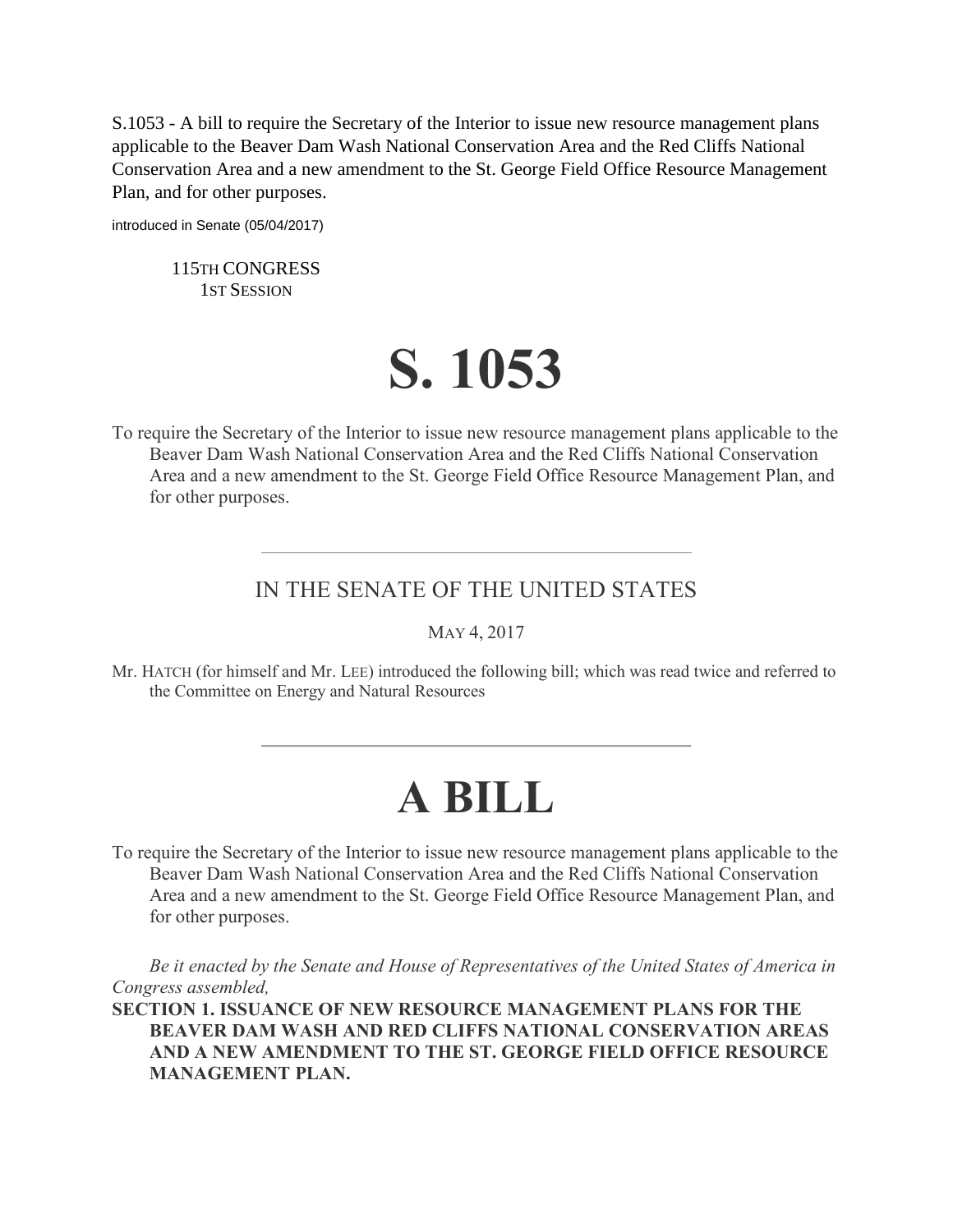S.1053 - A bill to require the Secretary of the Interior to issue new resource management plans applicable to the Beaver Dam Wash National Conservation Area and the Red Cliffs National Conservation Area and a new amendment to the St. George Field Office Resource Management Plan, and for other purposes.

introduced in Senate (05/04/2017)

115TH CONGRESS 1ST SESSION

## **S. 1053**

To require the Secretary of the Interior to issue new resource management plans applicable to the Beaver Dam Wash National Conservation Area and the Red Cliffs National Conservation Area and a new amendment to the St. George Field Office Resource Management Plan, and for other purposes.

## IN THE SENATE OF THE UNITED STATES

MAY 4, 2017

Mr. HATCH (for himself and Mr. LEE) introduced the following bill; which was read twice and referred to the Committee on Energy and Natural Resources

## **A BILL**

To require the Secretary of the Interior to issue new resource management plans applicable to the Beaver Dam Wash National Conservation Area and the Red Cliffs National Conservation Area and a new amendment to the St. George Field Office Resource Management Plan, and for other purposes.

*Be it enacted by the Senate and House of Representatives of the United States of America in Congress assembled,*

**SECTION 1. ISSUANCE OF NEW RESOURCE MANAGEMENT PLANS FOR THE BEAVER DAM WASH AND RED CLIFFS NATIONAL CONSERVATION AREAS AND A NEW AMENDMENT TO THE ST. GEORGE FIELD OFFICE RESOURCE MANAGEMENT PLAN.**